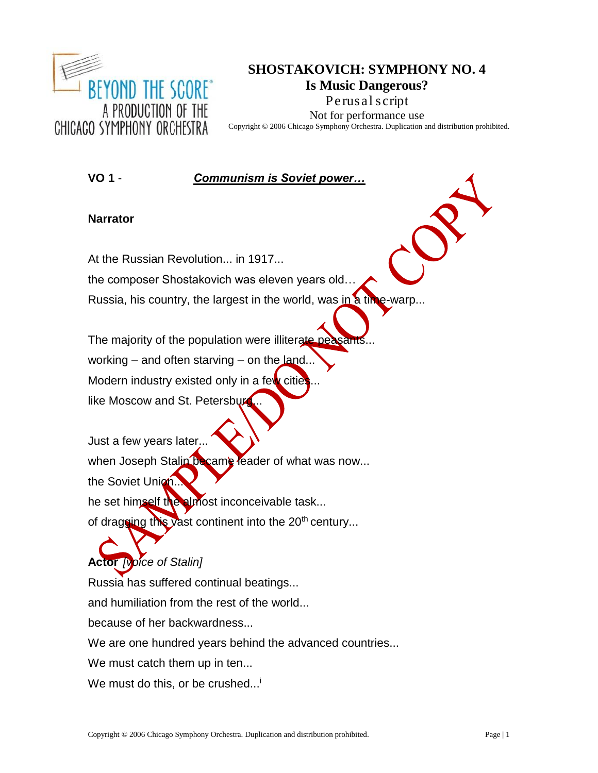

# **SHOSTAKOVICH: SYMPHONY NO. 4 Is Music Dangerous? Perusal script** Not for performance use

Copyright © 2006 Chicago Symphony Orchestra. Duplication and distribution prohibited.

**VO 1** - *Communism is Soviet power…*

# **Narrator**

At the Russian Revolution... in 1917...

the composer Shostakovich was eleven years old…

Russia, his country, the largest in the world, was in a time-warp...

The majority of the population were illiterate working – and often starving – on the land... Modern industry existed only in a few cities like Moscow and St. Petersburg

Just a few years later... when Joseph Stalin became leader of what was now... the Soviet Union... he set himself the almost inconceivable task... of dragging this vast continent into the  $20<sup>th</sup>$  century...

**Actor** *[voice of Stalin]* Russia has suffered continual beatings... and humiliation from the rest of the world... because of her backwardness... We are one hundred years behind the advanced countries... We must catch them up in ten... We must do this, or be crushed... $^{\dagger}$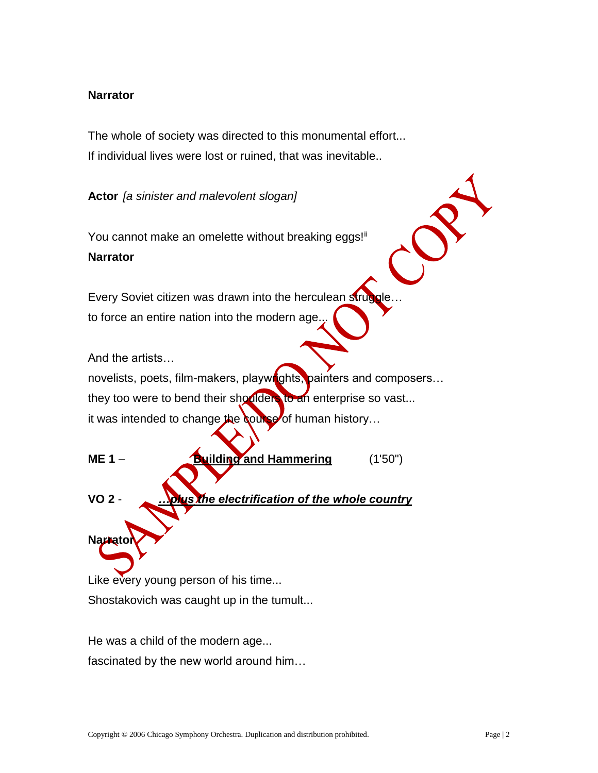# **Narrator**

The whole of society was directed to this monumental effort... If individual lives were lost or ruined, that was inevitable..

**Actor** *[a sinister and malevolent slogan]*

You cannot make an omelette without breaking eggs!ii **Narrator**

Every Soviet citizen was drawn into the herculean strug to force an entire nation into the modern age.

And the artists…

**Narrato** 

novelists, poets, film-makers, playwrights, painters and composers... they too were to bend their shoulders to an enterprise so vast... it was intended to change the course of human history...

**ME** 1 – **Building and Hammering** (1'50") **VO 2** - *…plus the electrification of the whole country*

Like every young person of his time... Shostakovich was caught up in the tumult...

He was a child of the modern age... fascinated by the new world around him…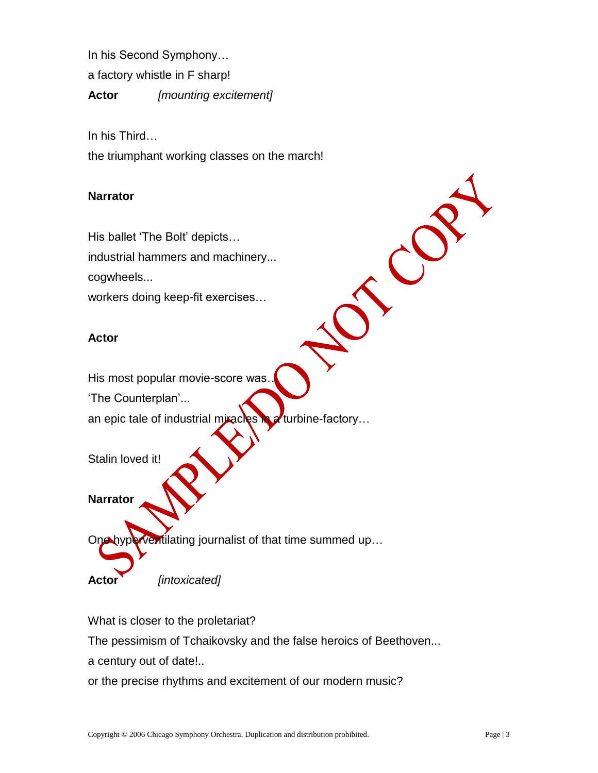In his Second Symphony…

a factory whistle in F sharp!

**Actor** *[mounting excitement]*

In his Third…

the triumphant working classes on the march!

# **Narrator**

His ballet 'The Bolt' depicts… industrial hammers and machinery... cogwheels...

workers doing keep-fit exercises…

# **Actor**

His most popular movie-score was…

'The Counterplan'...

an epic tale of industrial miracles in a turbine-factory...



**Narrator**

Ventilating journalist of that time summed up...

**Actor** *[intoxicated]*

What is closer to the proletariat?

The pessimism of Tchaikovsky and the false heroics of Beethoven...

a century out of date!..

or the precise rhythms and excitement of our modern music?

 $\mathcal{C}$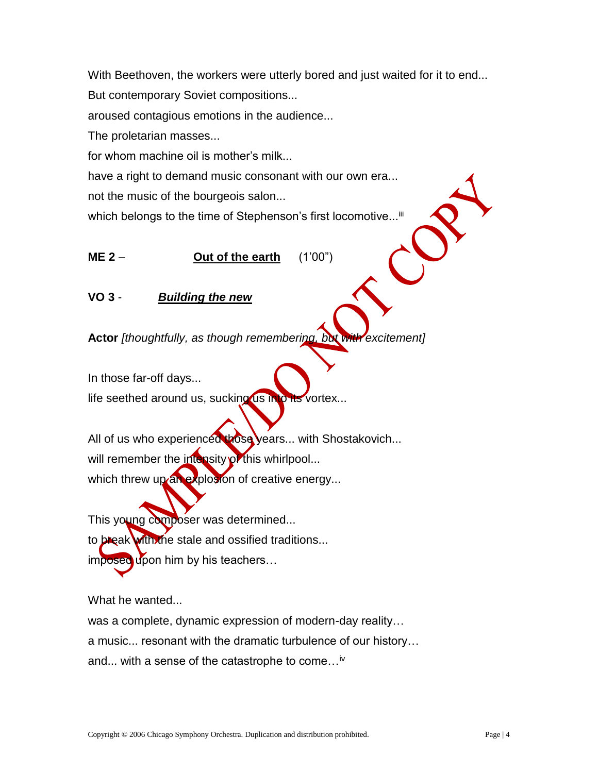With Beethoven, the workers were utterly bored and just waited for it to end... But contemporary Soviet compositions... aroused contagious emotions in the audience... The proletarian masses... for whom machine oil is mother's milk... have a right to demand music consonant with our own era... not the music of the bourgeois salon... which belongs to the time of Stephenson's first locomotive...<sup>iii</sup>

**VO 3** - *Building the new*

**ME 2** – **Out of the earth** (1'00")

**Actor** *[thoughtfully, as though remembering, but with excitement]*

In those far-off days...

life seethed around us, sucking us into its vortex...

All of us who experienced those years... with Shostakovich... will remember the intensity of this whirlpool... which threw up an explosion of creative energy...

This young composer was determined... to break with the stale and ossified traditions... imposed upon him by his teachers...

What he wanted...

was a complete, dynamic expression of modern-day reality…

a music... resonant with the dramatic turbulence of our history…

and... with a sense of the catastrophe to come...<sup>iv</sup>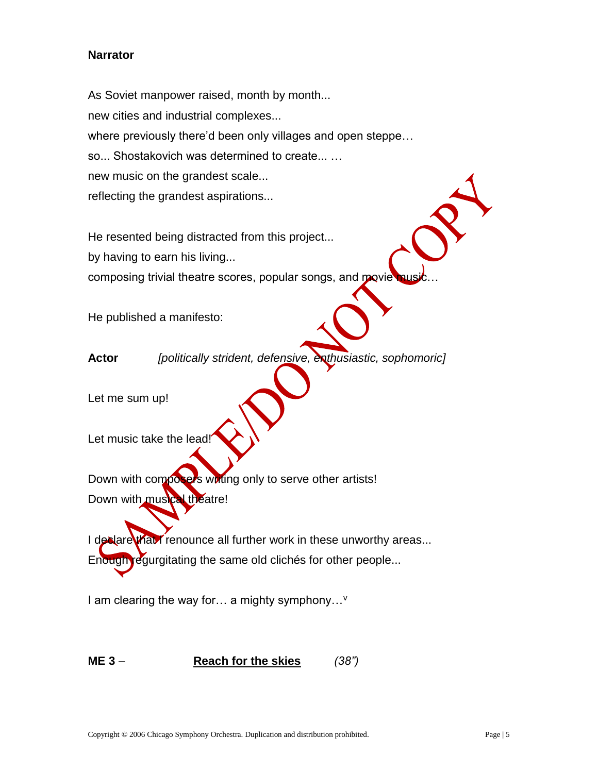# **Narrator**

As Soviet manpower raised, month by month... new cities and industrial complexes... where previously there'd been only villages and open steppe… so... Shostakovich was determined to create... … new music on the grandest scale... reflecting the grandest aspirations...

He resented being distracted from this project...

by having to earn his living...

composing trivial theatre scores, popular songs, and movie

He published a manifesto:

**Actor** *[politically strident, defensive, enthusiastic, sophomoric]*

Let me sum up!

Let music take the lead!

Down with composers wiring only to serve other artists! Down with musical theatre!

I declare that I renounce all further work in these unworthy areas...

Enough regurgitating the same old clichés for other people...

I am clearing the way for... a mighty symphony...<sup>v</sup>

**ME 3** – **Reach for the skies** *(38")*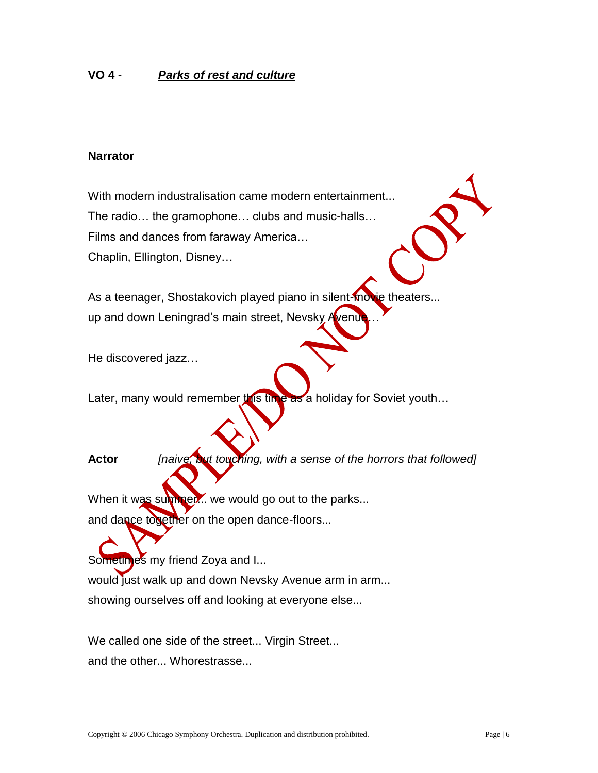# **VO 4** - *Parks of rest and culture*

#### **Narrator**

With modern industralisation came modern entertainment... The radio… the gramophone… clubs and music-halls… Films and dances from faraway America… Chaplin, Ellington, Disney…

As a teenager, Shostakovich played piano in silent-movie theaters... up and down Leningrad's main street, Nevsky Avenue

He discovered jazz…

Later, many would remember this time as a holiday for Soviet youth...

**Actor** *[naive, but touching, with a sense of the horrors that followed]*

When it was summer... we would go out to the parks...

and dance together on the open dance-floors...

Sometimes my friend Zoya and I... would just walk up and down Nevsky Avenue arm in arm... showing ourselves off and looking at everyone else...

We called one side of the street... Virgin Street... and the other... Whorestrasse...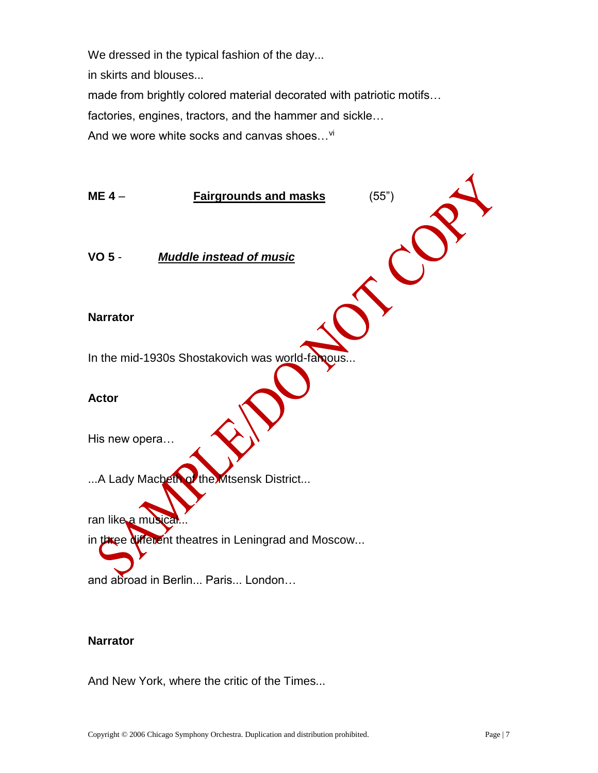We dressed in the typical fashion of the day...

in skirts and blouses...

made from brightly colored material decorated with patriotic motifs…

factories, engines, tractors, and the hammer and sickle…

And we wore white socks and canvas shoes...<sup>vi</sup>



# **Narrator**

And New York, where the critic of the Times...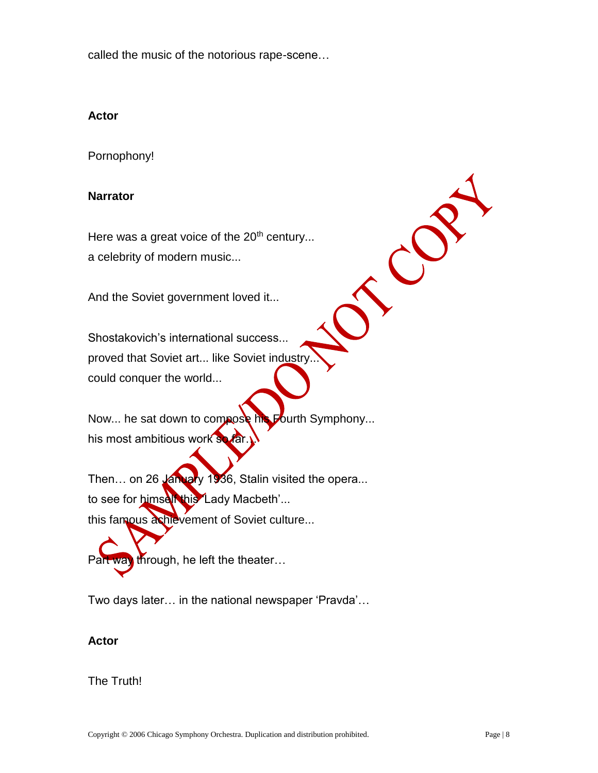called the music of the notorious rape-scene…

# **Actor**

Pornophony!

## **Narrator**

Here was a great voice of the 20<sup>th</sup> century... a celebrity of modern music...

And the Soviet government loved it...

Shostakovich's international success... proved that Soviet art... like Soviet industry could conquer the world...

Now... he sat down to compose his Fourth Symphony... his most ambitious work so far.

Then... on 26 January 1936, Stalin visited the opera... to see for himself this 'Lady Macbeth'... this famous achievement of Soviet culture...

Part way through, he left the theater...

Two days later… in the national newspaper 'Pravda'…

#### **Actor**

# The Truth!

CO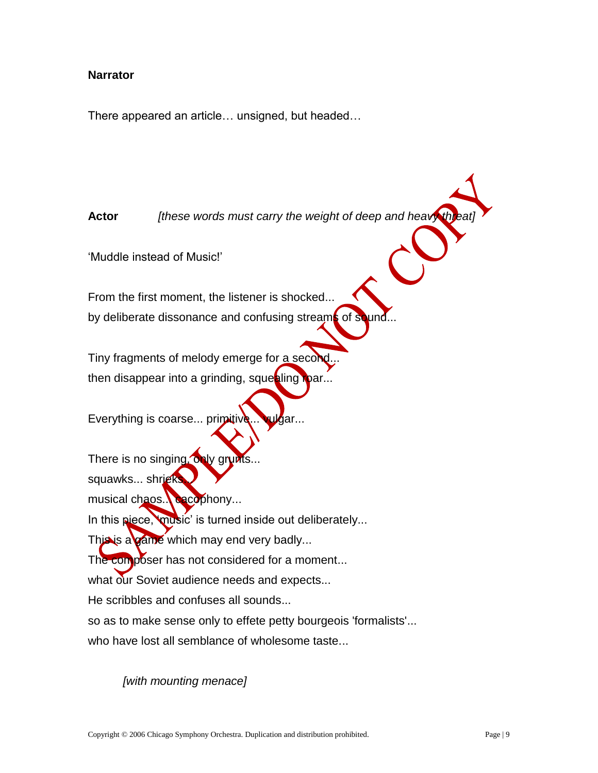# **Narrator**

There appeared an article… unsigned, but headed…

**Actor** *<i>Ithese words must carry the weight of deep and heavy threat* 

'Muddle instead of Music!'

From the first moment, the listener is shocked... by deliberate dissonance and confusing streams of  $s$ 

Tiny fragments of melody emerge for a seco then disappear into a grinding, squesling roar.

Everything is coarse... primitive... vulgar.

There is no singing, only grunts. squawks... shrieks musical chaos... cacophony... In this piece, 'music' is turned inside out deliberately... This is a game which may end very badly... The composer has not considered for a moment... what our Soviet audience needs and expects... He scribbles and confuses all sounds... so as to make sense only to effete petty bourgeois 'formalists'... who have lost all semblance of wholesome taste...

*[with mounting menace]*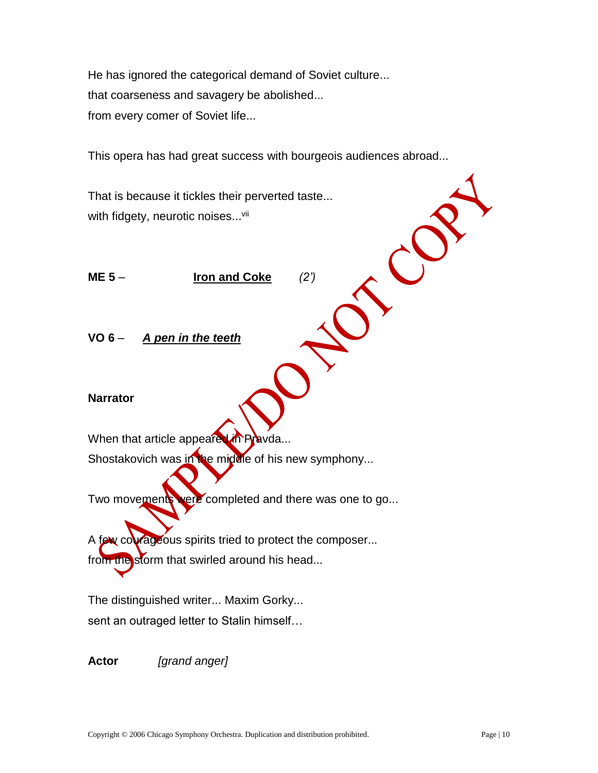He has ignored the categorical demand of Soviet culture... that coarseness and savagery be abolished... from every comer of Soviet life...

This opera has had great success with bourgeois audiences abroad...

That is because it tickles their perverted taste... with fidgety, neurotic noises...<sup>vii</sup>

**ME 5** – **Iron and Coke** *(2')*

**VO 6** – *A pen in the teeth*

# **Narrator**

When that article appeared in Pravda...

Shostakovich was in the middle of his new symphony...

Two movements were completed and there was one to go...

A few courageous spirits tried to protect the composer... from the storm that swirled around his head...

The distinguished writer... Maxim Gorky... sent an outraged letter to Stalin himself…

**Actor** *[grand anger]*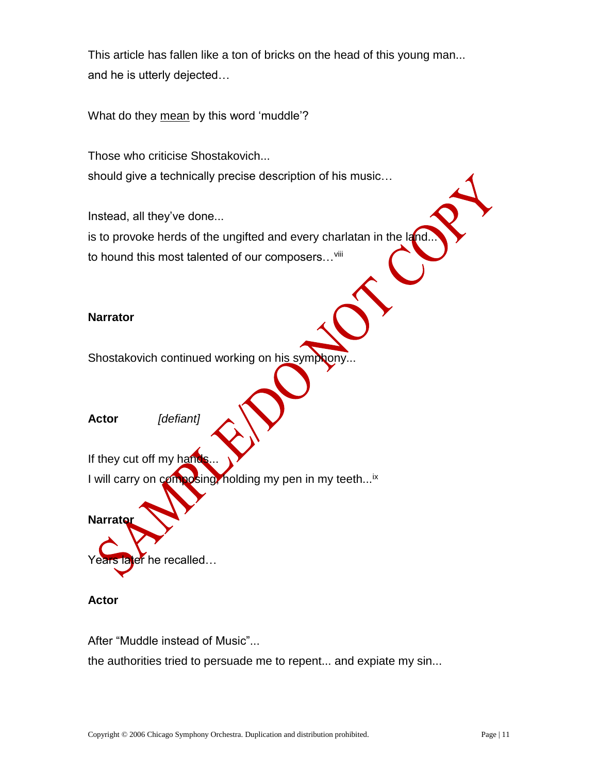This article has fallen like a ton of bricks on the head of this young man... and he is utterly dejected…

What do they mean by this word 'muddle'?

Those who criticise Shostakovich... should give a technically precise description of his music…

Instead, all they've done... is to provoke herds of the ungifted and every charlatan in the  $I_{\rm d}$ to hound this most talented of our composers... viii

#### **Narrator**

Shostakovich continued working on his symphony

**Actor** *[defiant]*

If they cut off my hand I will carry on composing, holding my pen in my teeth...<sup>ix</sup>

Years later he recalled...

#### **Actor**

**Narrator** 

After "Muddle instead of Music"...

the authorities tried to persuade me to repent... and expiate my sin...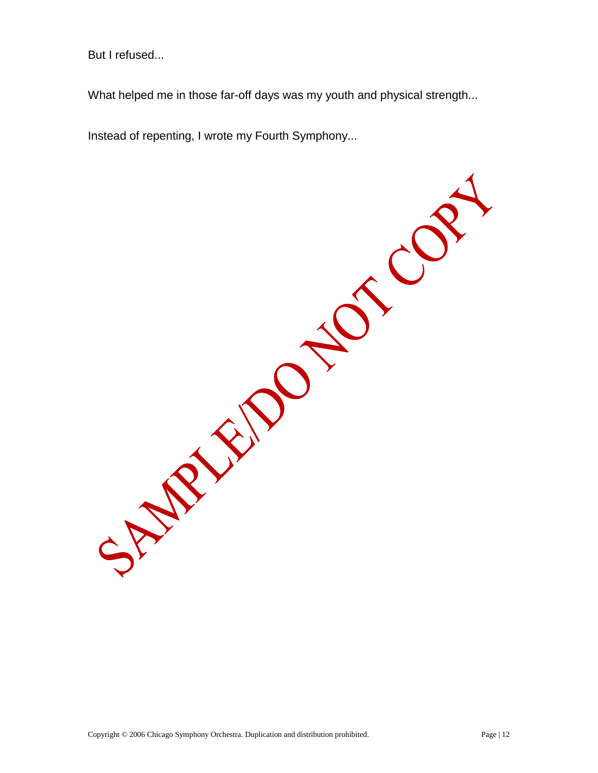But I refused...

What helped me in those far-off days was my youth and physical strength...

SI CON

Instead of repenting, I wrote my Fourth Symphony...

SAMPLE 1919

Copyright © 2006 Chicago Symphony Orchestra. Duplication and distribution prohibited. Page | 12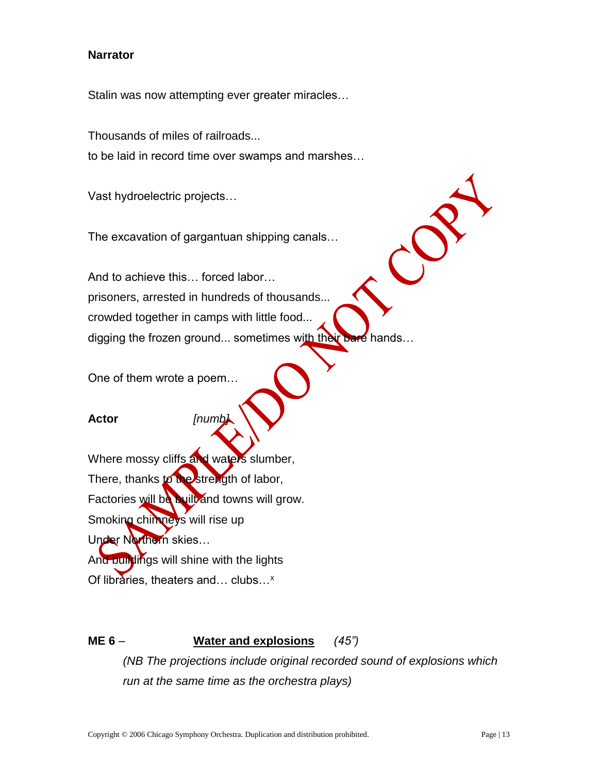# **Narrator**

Stalin was now attempting ever greater miracles…

Thousands of miles of railroads... to be laid in record time over swamps and marshes…

Vast hydroelectric projects…

The excavation of gargantuan shipping canals…

And to achieve this… forced labor… prisoners, arrested in hundreds of thousands... crowded together in camps with little food... digging the frozen ground... sometimes with their bare hands...

One of them wrote a poem…

#### **Actor** *[numb]*

Where mossy cliffs and waters slumber, There, thanks to the strength of labor, Factories will be built and towns will grow. Smoking chimneys will rise up Under Northern skies... And buildings will shine with the lights Of libraries, theaters and... clubs...<sup>x</sup>

**ME 6** – **Water and explosions** *(45")* 

*(NB The projections include original recorded sound of explosions which run at the same time as the orchestra plays)*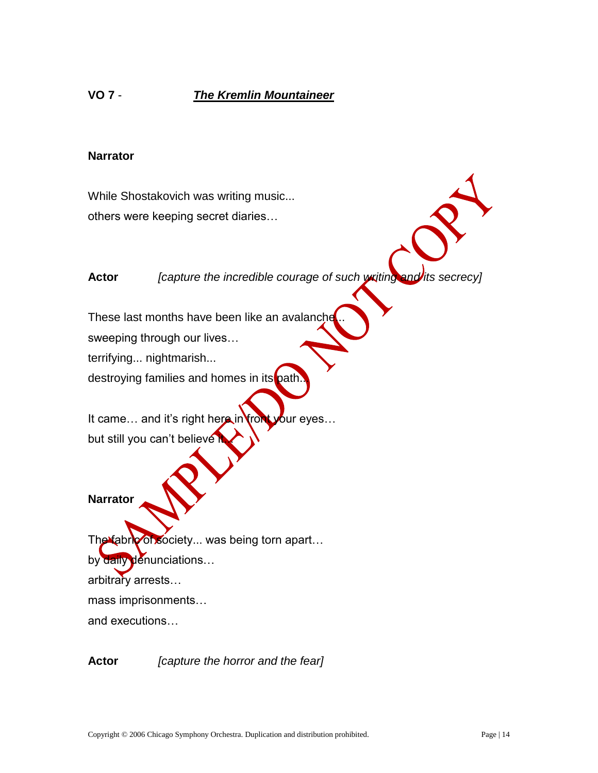# **Narrator**

While Shostakovich was writing music... others were keeping secret diaries…

**Actor** *[capture the incredible courage of such writing and its secrecy]*

These last months have been like an avalanche

sweeping through our lives…

terrifying... nightmarish...

destroying families and homes in its path

It came... and it's right here in front your eyes... but still you can't believe

#### **Narrator**

The fabric of society... was being torn apart... by daily denunciations... arbitrary arrests… mass imprisonments… and executions…

**Actor** *[capture the horror and the fear]*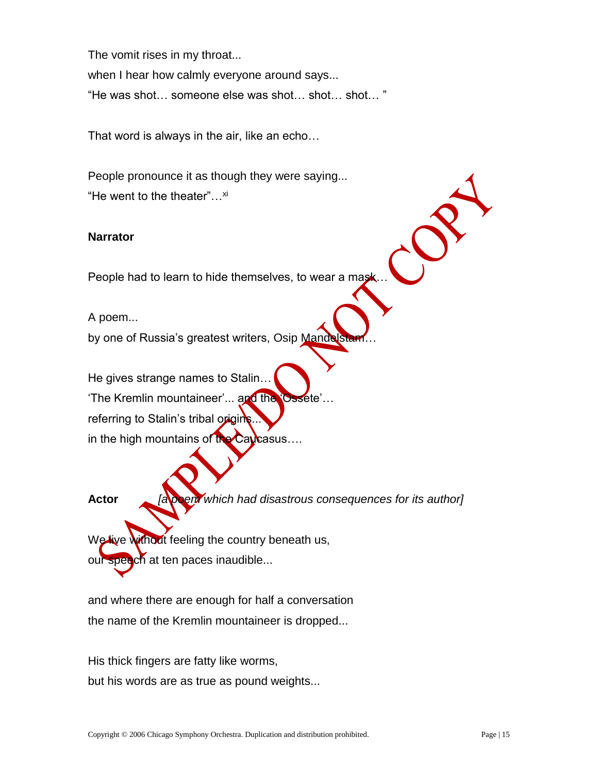The vomit rises in my throat... when I hear how calmly everyone around says... "He was shot… someone else was shot… shot… shot… "

That word is always in the air, like an echo…

People pronounce it as though they were saying... "He went to the theater"...<sup>xi</sup>

# **Narrator**

People had to learn to hide themselves, to wear a mask...

A poem...

by one of Russia's greatest writers, Osip Mandels

He gives strange names to Stalin…

'The Kremlin mountaineer'... and the 'Ossete'… referring to Stalin's tribal origins.

in the high mountains of the Caucasus....

**Actor** *[a poem which had disastrous consequences for its author]*

We live without feeling the country beneath us, our speech at ten paces inaudible...

and where there are enough for half a conversation the name of the Kremlin mountaineer is dropped...

His thick fingers are fatty like worms, but his words are as true as pound weights...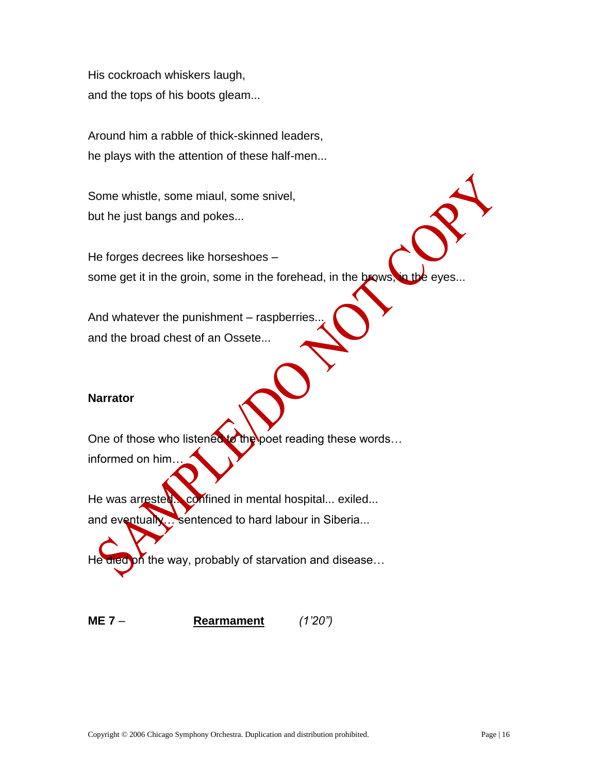His cockroach whiskers laugh, and the tops of his boots gleam...

Around him a rabble of thick-skinned leaders, he plays with the attention of these half-men...

Some whistle, some miaul, some snivel, but he just bangs and pokes...

He forges decrees like horseshoes – some get it in the groin, some in the forehead, in the brows, in the eyes...

And whatever the punishment – raspberries. and the broad chest of an Ossete...

# **Narrator**

One of those who listened to the poet reading these words... informed on him…

He was arrested... confined in mental hospital... exiled... and eventually… sentenced to hard labour in Siberia...

He died on the way, probably of starvation and disease...

**ME 7** – **Rearmament** *(1'20")*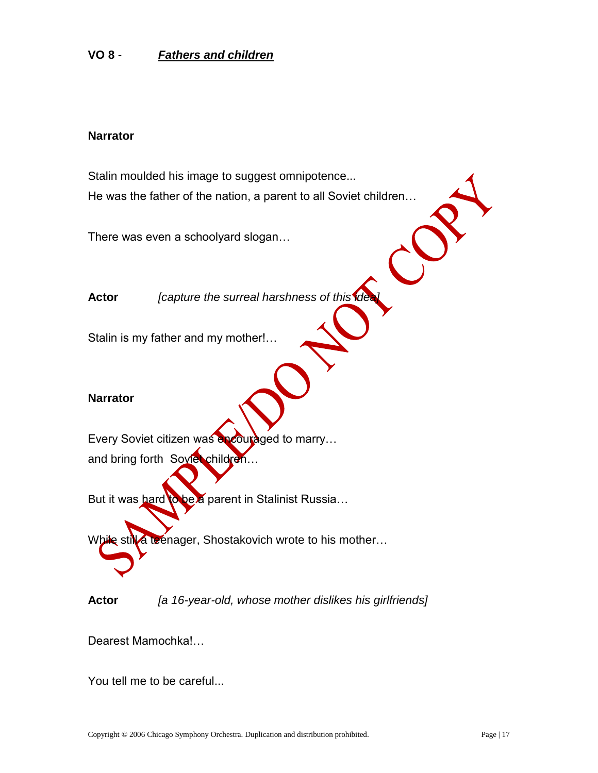# **VO 8** - *Fathers and children*

#### **Narrator**

Stalin moulded his image to suggest omnipotence... He was the father of the nation, a parent to all Soviet children…

There was even a schoolyard slogan…

**Actor** *[capture the surreal harshness of this idea]*

Stalin is my father and my mother!…

## **Narrator**

Every Soviet citizen was encouraged to marry... and bring forth Soviet children...

But it was hard to be a parent in Stalinist Russia...

While still a teenager, Shostakovich wrote to his mother...

**Actor** *[a 16-year-old, whose mother dislikes his girlfriends]*

Dearest Mamochka!…

You tell me to be careful...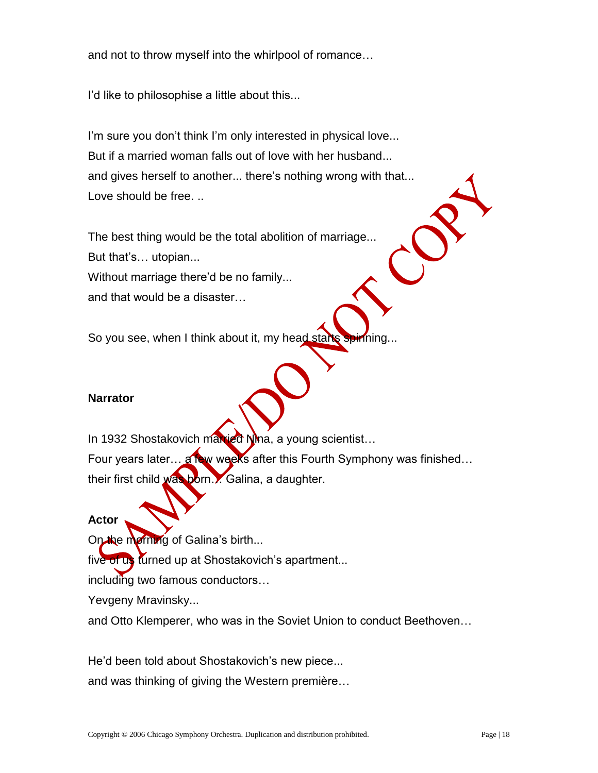and not to throw myself into the whirlpool of romance…

I'd like to philosophise a little about this...

I'm sure you don't think I'm only interested in physical love... But if a married woman falls out of love with her husband... and gives herself to another... there's nothing wrong with that... Love should be free. ..

The best thing would be the total abolition of marriage... But that's… utopian... Without marriage there'd be no family... and that would be a disaster…

So you see, when I think about it, my head starts spirining...

# **Narrator**

In 1932 Shostakovich married Nina, a young scientist... Four years later… a few weeks after this Fourth Symphony was finished… their first child was born... Galina, a daughter.

#### **Actor**

On the morning of Galina's birth...

five of us turned up at Shostakovich's apartment...

including two famous conductors…

Yevgeny Mravinsky...

and Otto Klemperer, who was in the Soviet Union to conduct Beethoven…

He'd been told about Shostakovich's new piece... and was thinking of giving the Western première…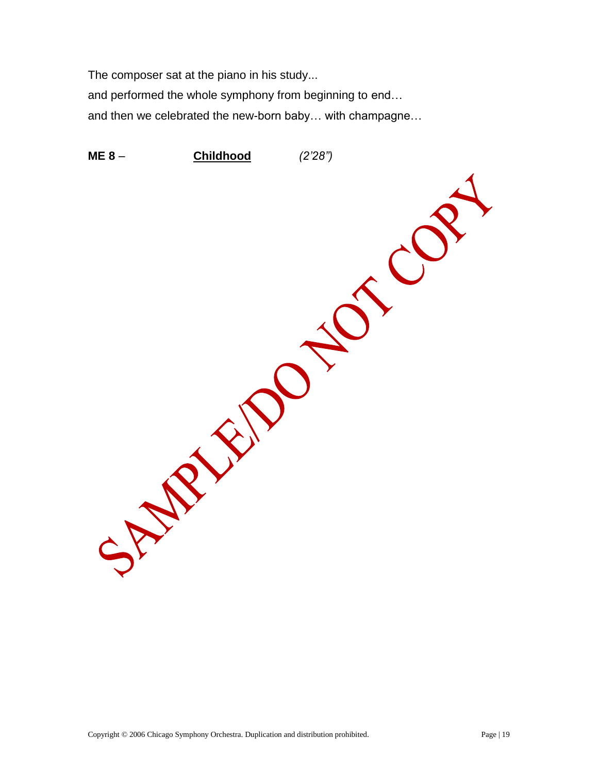The composer sat at the piano in his study...

and performed the whole symphony from beginning to end…

and then we celebrated the new-born baby… with champagne…

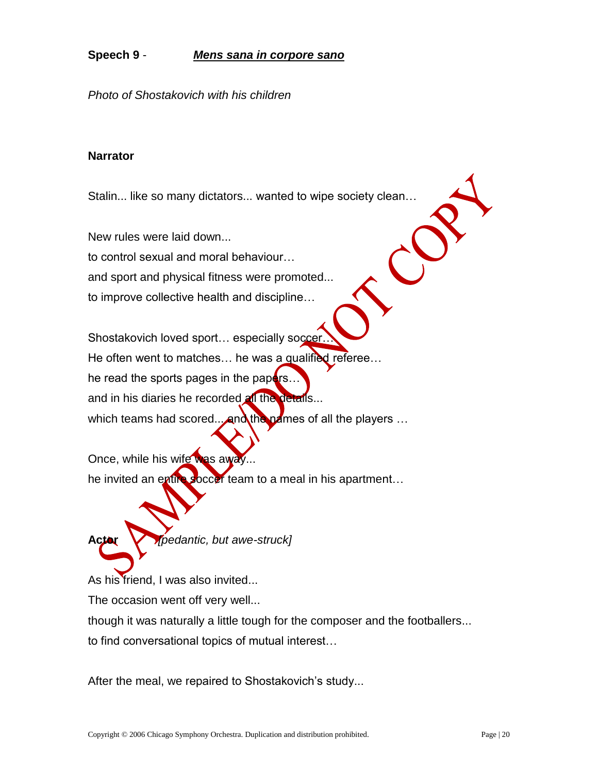# **Speech 9** - *Mens sana in corpore sano*

*Photo of Shostakovich with his children*

## **Narrator**

Stalin... like so many dictators... wanted to wipe society clean…

New rules were laid down... to control sexual and moral behaviour… and sport and physical fitness were promoted... to improve collective health and discipline…

Shostakovich loved sport... especially soccer He often went to matches... he was a qualified referee... he read the sports pages in the papers.. and in his diaries he recorded all the details... which teams had scored... and the names of all the players  $\ldots$ 

Once, while his wife was away. he invited an entire soccer team to a meal in his apartment...

**Actor** *[pedantic, but awe-struck]*

As his friend, I was also invited...

The occasion went off very well...

though it was naturally a little tough for the composer and the footballers...

to find conversational topics of mutual interest…

After the meal, we repaired to Shostakovich's study...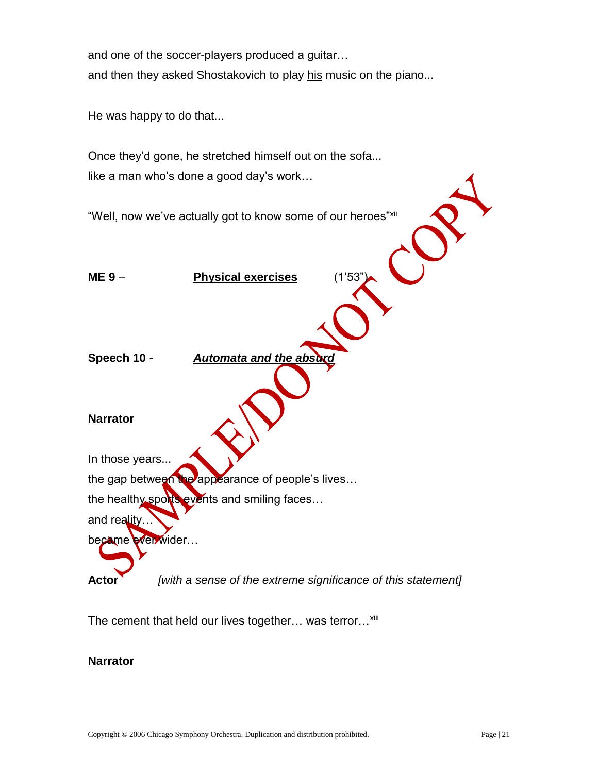and one of the soccer-players produced a guitar… and then they asked Shostakovich to play his music on the piano...

He was happy to do that...

Once they'd gone, he stretched himself out on the sofa... like a man who's done a good day's work…

"Well, now we've actually got to know some of our heroes"xii **ME 9** – **Physical exercises** (1'53") **Speech 10 -**  *Automata and the abs* **Narrator** In those years... the gap between the appearance of people's lives... the healthy sports events and smiling faces... and reality… became ever wider... **Actor** *[with a sense of the extreme significance of this statement]*

The cement that held our lives together... was terror...<sup>xiii</sup>

#### **Narrator**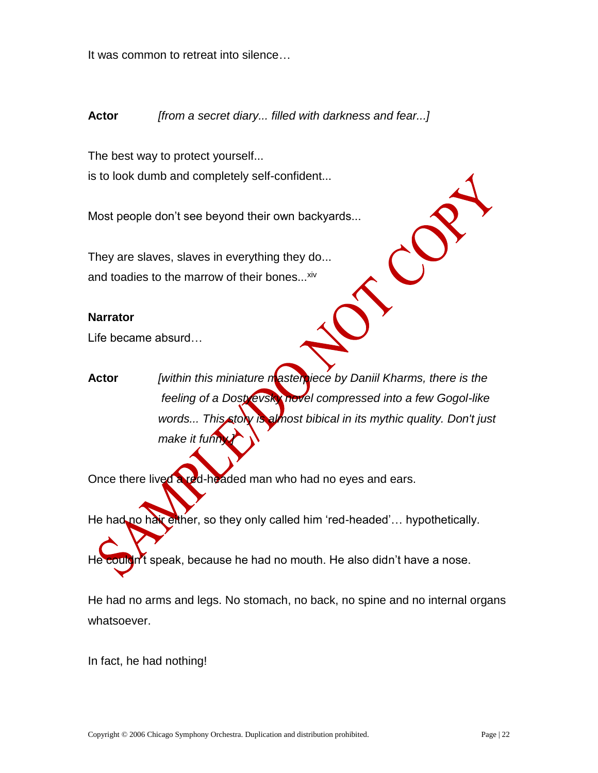It was common to retreat into silence…

# **Actor** *[from a secret diary... filled with darkness and fear...]*

The best way to protect yourself... is to look dumb and completely self-confident...

Most people don't see beyond their own backyards...

They are slaves, slaves in everything they do... and toadies to the marrow of their bones...<sup>xiv</sup>

#### **Narrator**

Life became absurd…

**Actor** *[within this miniature masterpiece by Daniil Kharms, there is the feeling of a Dostyevsky novel compressed into a few Gogol-like* words... This story is almost bibical in its mythic quality. Don't just make it funn

Once there lived a red-headed man who had no eyes and ears.

He had no hair either, so they only called him 'red-headed'... hypothetically.

He couldn't speak, because he had no mouth. He also didn't have a nose.

He had no arms and legs. No stomach, no back, no spine and no internal organs whatsoever.

In fact, he had nothing!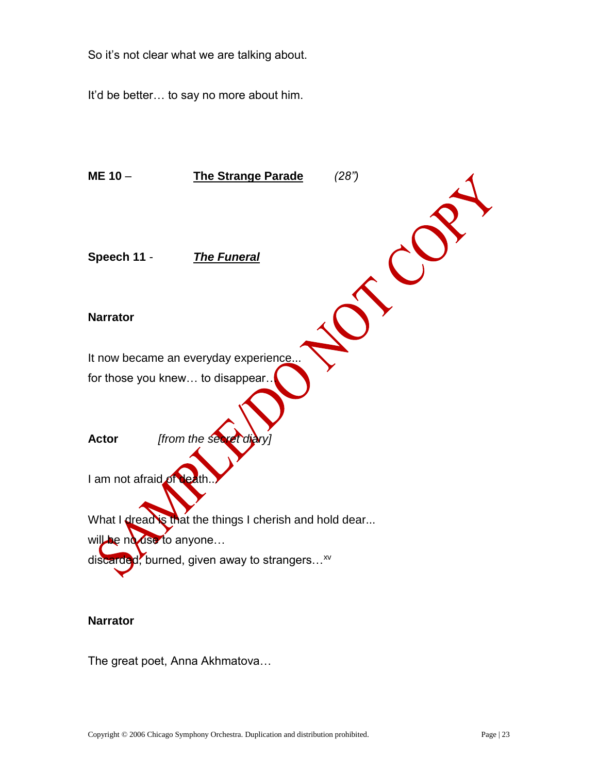So it's not clear what we are talking about.

It'd be better… to say no more about him.



#### **Narrator**

The great poet, Anna Akhmatova…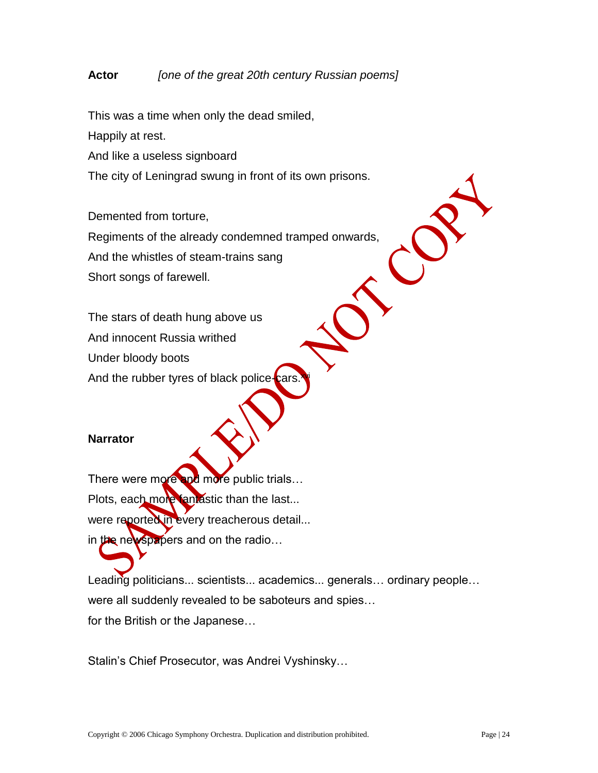# **Actor** *[one of the great 20th century Russian poems]*

This was a time when only the dead smiled,

Happily at rest.

And like a useless signboard

The city of Leningrad swung in front of its own prisons.

Demented from torture, Regiments of the already condemned tramped onwards, And the whistles of steam-trains sang Short songs of farewell.

The stars of death hung above us

And innocent Russia writhed

Under bloody boots

And the rubber tyres of black police-cars.

#### **Narrator**

There were more and more public trials... Plots, each more fantastic than the last... were reported in every treacherous detail... in the newspapers and on the radio...

Leading politicians... scientists... academics... generals... ordinary people... were all suddenly revealed to be saboteurs and spies… for the British or the Japanese…

Stalin's Chief Prosecutor, was Andrei Vyshinsky…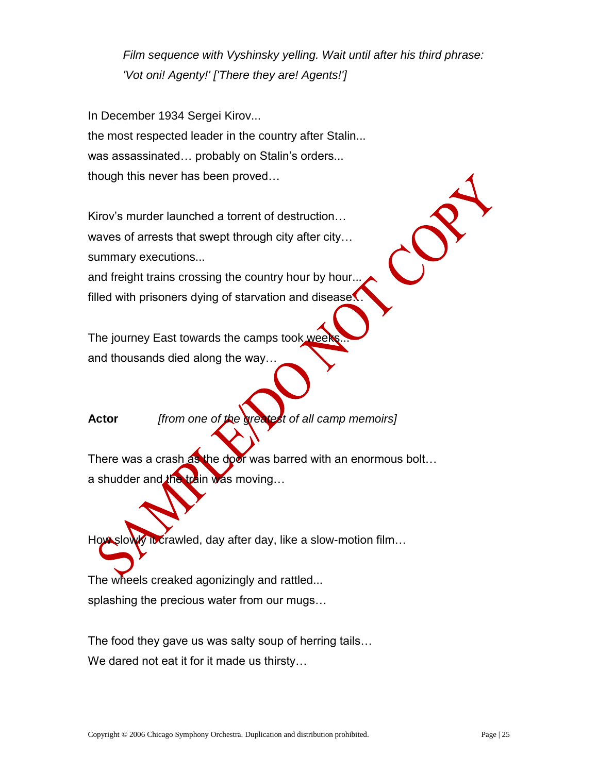*Film sequence with Vyshinsky yelling. Wait until after his third phrase: 'Vot oni! Agenty!' ['There they are! Agents!']*

In December 1934 Sergei Kirov... the most respected leader in the country after Stalin... was assassinated… probably on Stalin's orders... though this never has been proved…

Kirov's murder launched a torrent of destruction… waves of arrests that swept through city after city… summary executions...

and freight trains crossing the country hour by hour... filled with prisoners dying of starvation and disease.

The journey East towards the camps took week and thousands died along the way…

**Actor** *[from one of the greatest of all camp memoirs]*

There was a crash as the door was barred with an enormous bolt... a shudder and the train was moving...

How slowly it crawled, day after day, like a slow-motion film...

The wheels creaked agonizingly and rattled... splashing the precious water from our mugs…

The food they gave us was salty soup of herring tails… We dared not eat it for it made us thirsty…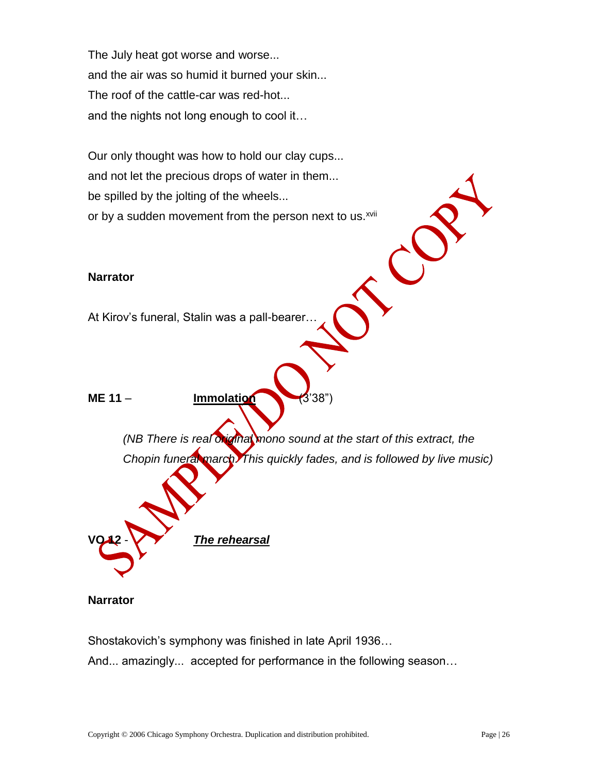The July heat got worse and worse... and the air was so humid it burned your skin... The roof of the cattle-car was red-hot... and the nights not long enough to cool it…

Our only thought was how to hold our clay cups... and not let the precious drops of water in them... be spilled by the jolting of the wheels... or by a sudden movement from the person next to us.<sup>xvii</sup>

#### **Narrator**

At Kirov's funeral, Stalin was a pall-bearer…

**ME 11** – **Immolation** (3'38")

*(NB There is real original mono sound at the start of this extract, the Chopin funeral march. This quickly fades, and is followed by live music)*

**Narrator**

Shostakovich's symphony was finished in late April 1936…

**The rehearsal** 

And... amazingly... accepted for performance in the following season…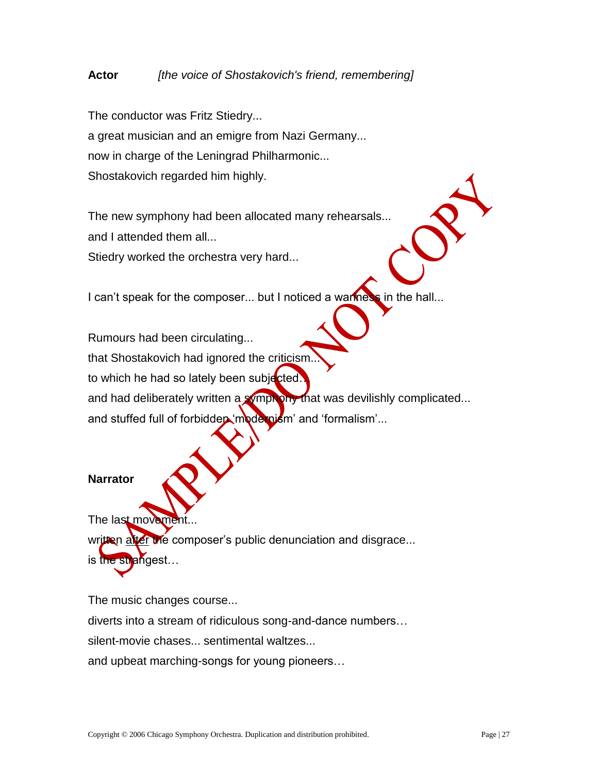# **Actor** *[the voice of Shostakovich's friend, remembering]*

The conductor was Fritz Stiedry... a great musician and an emigre from Nazi Germany... now in charge of the Leningrad Philharmonic... Shostakovich regarded him highly.

The new symphony had been allocated many rehearsals... and I attended them all...

Stiedry worked the orchestra very hard...

I can't speak for the composer... but I noticed a wariness in the hall...

Rumours had been circulating... that Shostakovich had ignored the criticism to which he had so lately been subjected. and had deliberately written a symphony that was devilishly complicated...

and stuffed full of forbidden 'modernism' and 'formalism'...

#### **Narrator**

The last moveme written after the composer's public denunciation and disgrace... is the strangest…

The music changes course...

diverts into a stream of ridiculous song-and-dance numbers…

silent-movie chases... sentimental waltzes...

and upbeat marching-songs for young pioneers…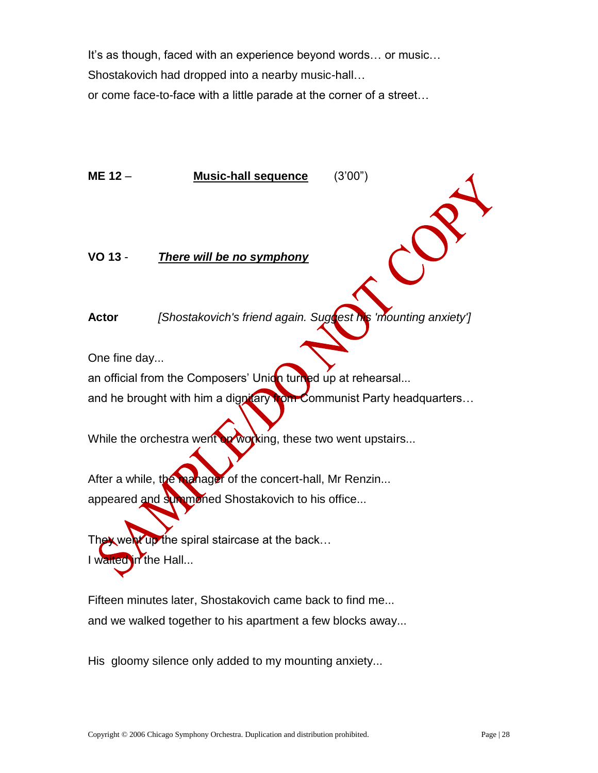It's as though, faced with an experience beyond words… or music… Shostakovich had dropped into a nearby music-hall…

or come face-to-face with a little parade at the corner of a street…

**ME 12** – **Music-hall sequence** (3'00") **VO 13** - *There will be no symphony* **Actor** *[Shostakovich's friend again. Suggest his 'mounting anxiety']* One fine day... an official from the Composers' Union turned up at rehearsal... and he brought with him a dignitary **from Communist Party headquarters...** While the orchestra went on working, these two went upstairs... After a while, the manager of the concert-hall, Mr Renzin... appeared and summoned Shostakovich to his office... They went up the spiral staircase at the back... I waited in the Hall... Fifteen minutes later, Shostakovich came back to find me...

His gloomy silence only added to my mounting anxiety...

and we walked together to his apartment a few blocks away...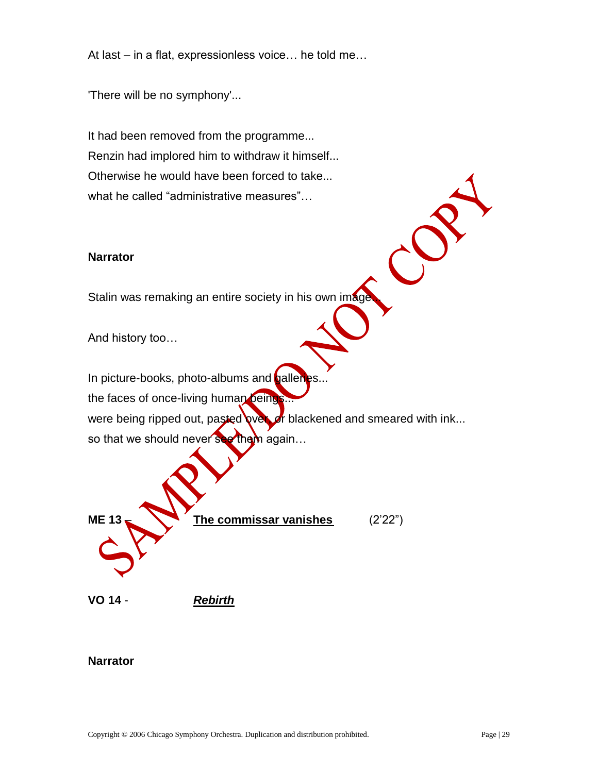At last – in a flat, expressionless voice… he told me…

'There will be no symphony'...

It had been removed from the programme... Renzin had implored him to withdraw it himself... Otherwise he would have been forced to take... what he called "administrative measures"…

#### **Narrator**

Stalin was remaking an entire society in his own image

And history too…

In picture-books, photo-albums and **galleries** the faces of once-living human beings... were being ripped out, pasted over, or blackened and smeared with ink... so that we should never see them again...

 $\mathcal{C}$ 



**VO 14** - *Rebirth*

### **Narrator**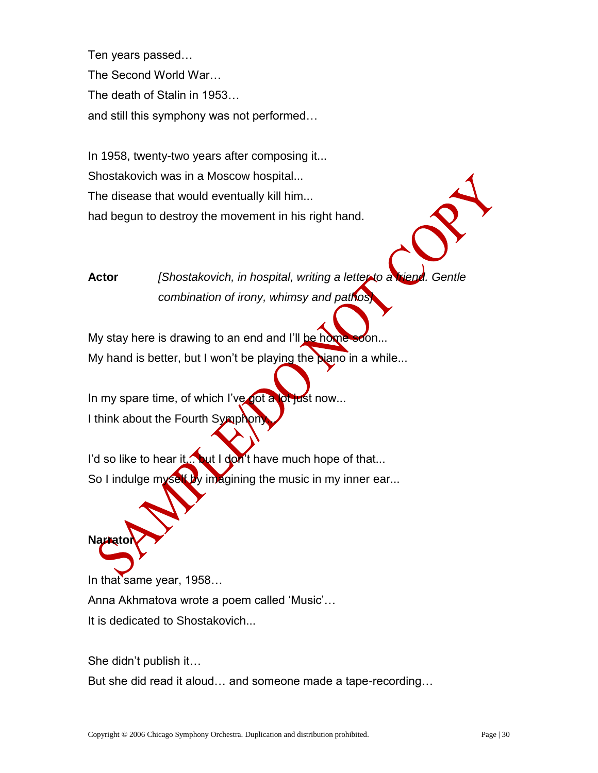Ten years passed… The Second World War… The death of Stalin in 1953… and still this symphony was not performed…

In 1958, twenty-two years after composing it... Shostakovich was in a Moscow hospital... The disease that would eventually kill him... had begun to destroy the movement in his right hand.

**Actor** *[Shostakovich, in hospital, writing a letter to a friend. Gentle combination of irony, whimsy and pathos]*

My stay here is drawing to an end and I'll be home soon... My hand is better, but I won't be playing the **piano** in a while...

In my spare time, of which I've got a lot just now... I think about the Fourth Symphon

I'd so like to hear it... but I don't have much hope of that... So I indulge myself by imagining the music in my inner ear...

# **Nariato**

In that same year, 1958... Anna Akhmatova wrote a poem called 'Music'… It is dedicated to Shostakovich...

She didn't publish it…

But she did read it aloud… and someone made a tape-recording…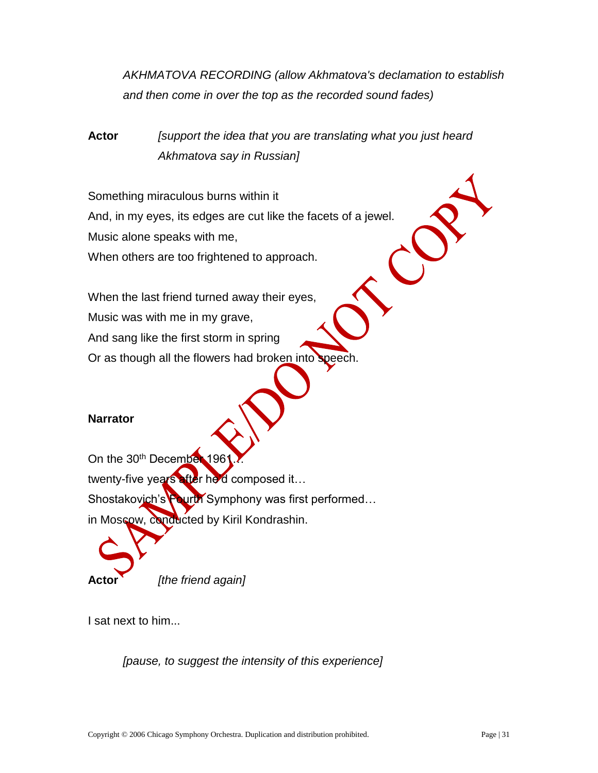*AKHMATOVA RECORDING (allow Akhmatova's declamation to establish and then come in over the top as the recorded sound fades)*

**Actor** *[support the idea that you are translating what you just heard Akhmatova say in Russian]*

Something miraculous burns within it And, in my eyes, its edges are cut like the facets of a jewel. Music alone speaks with me, When others are too frightened to approach.

When the last friend turned away their eyes, Music was with me in my grave, And sang like the first storm in spring Or as though all the flowers had broken into speech.

# **Narrator**

On the 30<sup>th</sup> December 196 twenty-five years after he'd composed it… Shostakovich's Fourth Symphony was first performed... in Moscow, conducted by Kiril Kondrashin.

*[the friend again]* 

I sat next to him...

*[pause, to suggest the intensity of this experience]*